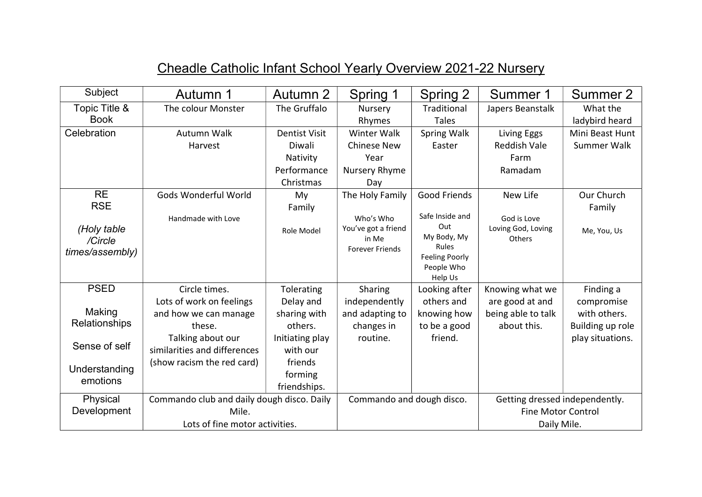| Subject         | Autumn 1                                   | Autumn 2             | Spring 1                        | Spring 2              | Summer 1                       | Summer 2         |
|-----------------|--------------------------------------------|----------------------|---------------------------------|-----------------------|--------------------------------|------------------|
| Topic Title &   | The colour Monster                         | The Gruffalo         | Nursery                         | Traditional           | Japers Beanstalk               | What the         |
| <b>Book</b>     |                                            |                      | Rhymes                          | <b>Tales</b>          |                                | ladybird heard   |
| Celebration     | Autumn Walk                                | <b>Dentist Visit</b> | Winter Walk                     | Spring Walk           | Living Eggs                    | Mini Beast Hunt  |
|                 | Harvest                                    | Diwali               | <b>Chinese New</b>              | Easter                | <b>Reddish Vale</b>            | Summer Walk      |
|                 |                                            | Nativity             | Year                            |                       | Farm                           |                  |
|                 |                                            | Performance          | Nursery Rhyme                   |                       | Ramadam                        |                  |
|                 |                                            | Christmas            | Day                             |                       |                                |                  |
| <b>RE</b>       | Gods Wonderful World                       | My                   | The Holy Family                 | Good Friends          | New Life                       | Our Church       |
| <b>RSE</b>      |                                            | Family               |                                 |                       |                                | Family           |
|                 | Handmade with Love                         |                      | Who's Who                       | Safe Inside and       | God is Love                    |                  |
| (Holy table     |                                            | Role Model           | You've got a friend             | Out<br>My Body, My    | Loving God, Loving             | Me, You, Us      |
| /Circle         |                                            |                      | in Me<br><b>Forever Friends</b> | Rules                 | Others                         |                  |
| times/assembly) |                                            |                      |                                 | <b>Feeling Poorly</b> |                                |                  |
|                 |                                            |                      |                                 | People Who            |                                |                  |
|                 |                                            |                      |                                 | Help Us               |                                |                  |
| <b>PSED</b>     | Circle times.                              | Tolerating           | Sharing                         | Looking after         | Knowing what we                | Finding a        |
|                 | Lots of work on feelings                   | Delay and            | independently                   | others and            | are good at and                | compromise       |
| Making          | and how we can manage                      | sharing with         | and adapting to                 | knowing how           | being able to talk             | with others.     |
| Relationships   | these.                                     | others.              | changes in                      | to be a good          | about this.                    | Building up role |
| Sense of self   | Talking about our                          | Initiating play      | routine.                        | friend.               |                                | play situations. |
|                 | similarities and differences               | with our             |                                 |                       |                                |                  |
| Understanding   | (show racism the red card)                 | friends              |                                 |                       |                                |                  |
| emotions        |                                            | forming              |                                 |                       |                                |                  |
|                 |                                            | friendships.         |                                 |                       |                                |                  |
| Physical        | Commando club and daily dough disco. Daily |                      | Commando and dough disco.       |                       | Getting dressed independently. |                  |
| Development     | Mile.                                      |                      |                                 |                       | <b>Fine Motor Control</b>      |                  |
|                 | Lots of fine motor activities.             |                      | Daily Mile.                     |                       |                                |                  |

## Cheadle Catholic Infant School Yearly Overview 2021-22 Nursery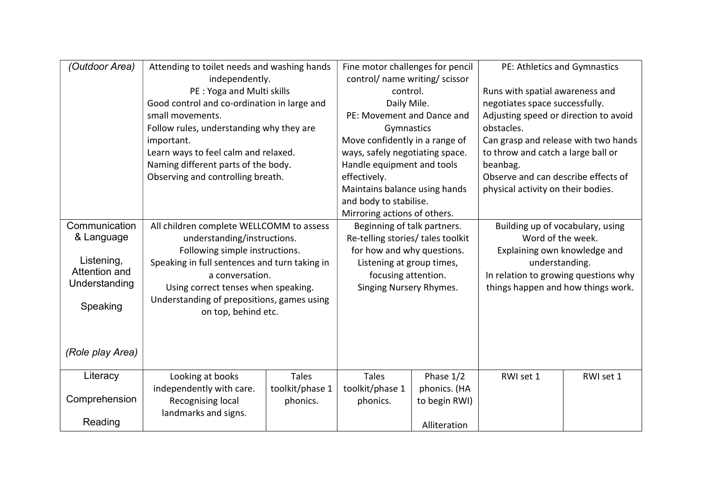| (Outdoor Area)                                                         | Attending to toilet needs and washing hands                                                                                                                                                                                                   |                                                                                                                                                                                                                                                            | Fine motor challenges for pencil                                                                                                               |                                                                                                                                                                                                                                                                                                                     | PE: Athletics and Gymnastics                                                                                                 |                                                                                                                                                                                                                                                                                                 |  |
|------------------------------------------------------------------------|-----------------------------------------------------------------------------------------------------------------------------------------------------------------------------------------------------------------------------------------------|------------------------------------------------------------------------------------------------------------------------------------------------------------------------------------------------------------------------------------------------------------|------------------------------------------------------------------------------------------------------------------------------------------------|---------------------------------------------------------------------------------------------------------------------------------------------------------------------------------------------------------------------------------------------------------------------------------------------------------------------|------------------------------------------------------------------------------------------------------------------------------|-------------------------------------------------------------------------------------------------------------------------------------------------------------------------------------------------------------------------------------------------------------------------------------------------|--|
|                                                                        | small movements.<br>important.                                                                                                                                                                                                                | independently.<br>PE: Yoga and Multi skills<br>Good control and co-ordination in large and<br>Follow rules, understanding why they are<br>Learn ways to feel calm and relaxed.<br>Naming different parts of the body.<br>Observing and controlling breath. |                                                                                                                                                | control/ name writing/ scissor<br>control.<br>Daily Mile.<br>PE: Movement and Dance and<br>Gymnastics<br>Move confidently in a range of<br>ways, safely negotiating space.<br>Handle equipment and tools<br>effectively.<br>Maintains balance using hands<br>and body to stabilise.<br>Mirroring actions of others. |                                                                                                                              | Runs with spatial awareness and<br>negotiates space successfully.<br>Adjusting speed or direction to avoid<br>obstacles.<br>Can grasp and release with two hands<br>to throw and catch a large ball or<br>beanbag.<br>Observe and can describe effects of<br>physical activity on their bodies. |  |
| Communication                                                          | All children complete WELLCOMM to assess                                                                                                                                                                                                      |                                                                                                                                                                                                                                                            | Beginning of talk partners.                                                                                                                    |                                                                                                                                                                                                                                                                                                                     | Building up of vocabulary, using<br>Word of the week.                                                                        |                                                                                                                                                                                                                                                                                                 |  |
| & Language<br>Listening,<br>Attention and<br>Understanding<br>Speaking | understanding/instructions.<br>Following simple instructions.<br>Speaking in full sentences and turn taking in<br>a conversation.<br>Using correct tenses when speaking.<br>Understanding of prepositions, games using<br>on top, behind etc. |                                                                                                                                                                                                                                                            | Re-telling stories/ tales toolkit<br>for how and why questions.<br>Listening at group times,<br>focusing attention.<br>Singing Nursery Rhymes. |                                                                                                                                                                                                                                                                                                                     | Explaining own knowledge and<br>understanding.<br>In relation to growing questions why<br>things happen and how things work. |                                                                                                                                                                                                                                                                                                 |  |
| (Role play Area)                                                       |                                                                                                                                                                                                                                               |                                                                                                                                                                                                                                                            |                                                                                                                                                |                                                                                                                                                                                                                                                                                                                     |                                                                                                                              |                                                                                                                                                                                                                                                                                                 |  |
| Literacy<br>Comprehension                                              | Looking at books<br>independently with care.<br>Recognising local                                                                                                                                                                             | <b>Tales</b><br>toolkit/phase 1<br>phonics.                                                                                                                                                                                                                | <b>Tales</b><br>toolkit/phase 1<br>phonics.                                                                                                    | Phase 1/2<br>phonics. (HA<br>to begin RWI)                                                                                                                                                                                                                                                                          | RWI set 1                                                                                                                    | RWI set 1                                                                                                                                                                                                                                                                                       |  |
| Reading                                                                | landmarks and signs.                                                                                                                                                                                                                          |                                                                                                                                                                                                                                                            |                                                                                                                                                | Alliteration                                                                                                                                                                                                                                                                                                        |                                                                                                                              |                                                                                                                                                                                                                                                                                                 |  |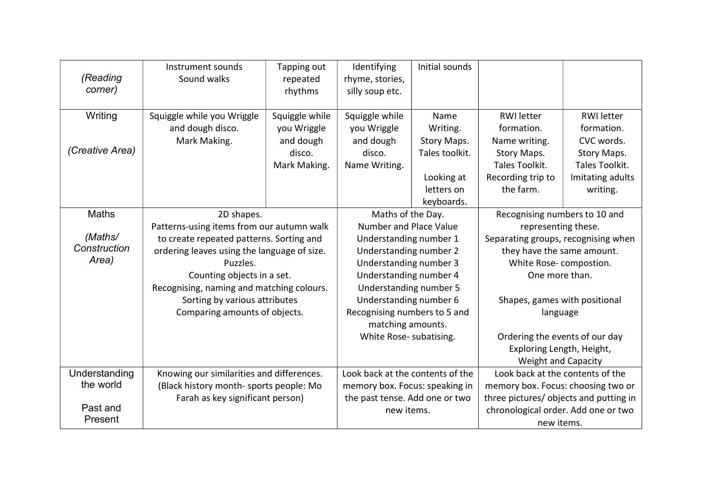| (Reading<br>corner) | Instrument sounds<br>Sound walks            | Tapping out<br>repeated<br>rhythms | Identifying<br>rhyme, stories,<br>silly soup etc. | Initial sounds |                                        |                                     |  |
|---------------------|---------------------------------------------|------------------------------------|---------------------------------------------------|----------------|----------------------------------------|-------------------------------------|--|
| Writing             | Squiggle while you Wriggle                  | Squiggle while                     | Squiggle while                                    | Name           | <b>RWI</b> letter                      | <b>RWI</b> letter                   |  |
|                     | and dough disco.                            | you Wriggle                        | you Wriggle                                       | Writing.       | formation.                             | formation.                          |  |
|                     | Mark Making.                                | and dough                          | and dough                                         | Story Maps.    | Name writing.                          | CVC words.                          |  |
| (Creative Area)     |                                             | disco.                             | disco.                                            | Tales toolkit. | Story Maps.                            | Story Maps.                         |  |
|                     |                                             | Mark Making.                       | Name Writing.                                     |                | Tales Toolkit.                         | Tales Toolkit.                      |  |
|                     |                                             |                                    |                                                   | Looking at     | Recording trip to                      | Imitating adults                    |  |
|                     |                                             |                                    |                                                   | letters on     | the farm.                              | writing.                            |  |
|                     |                                             |                                    |                                                   | keyboards.     |                                        |                                     |  |
| Maths               | 2D shapes.                                  |                                    | Maths of the Day.                                 |                | Recognising numbers to 10 and          |                                     |  |
|                     | Patterns-using items from our autumn walk   |                                    | Number and Place Value                            |                | representing these.                    |                                     |  |
| (Maths/             | to create repeated patterns. Sorting and    |                                    | Understanding number 1                            |                | Separating groups, recognising when    |                                     |  |
| Construction        | ordering leaves using the language of size. |                                    | Understanding number 2                            |                | they have the same amount.             |                                     |  |
| Area)               | Puzzles.                                    |                                    | Understanding number 3                            |                | White Rose-compostion.                 |                                     |  |
|                     | Counting objects in a set.                  |                                    | Understanding number 4                            |                | One more than.                         |                                     |  |
|                     | Recognising, naming and matching colours.   |                                    | Understanding number 5                            |                |                                        |                                     |  |
|                     | Sorting by various attributes               |                                    | Understanding number 6                            |                | Shapes, games with positional          |                                     |  |
|                     | Comparing amounts of objects.               |                                    | Recognising numbers to 5 and                      |                | language                               |                                     |  |
|                     |                                             |                                    | matching amounts.                                 |                |                                        |                                     |  |
|                     |                                             |                                    | White Rose- subatising.                           |                | Ordering the events of our day         |                                     |  |
|                     |                                             |                                    |                                                   |                | Exploring Length, Height,              |                                     |  |
|                     |                                             |                                    |                                                   |                | <b>Weight and Capacity</b>             |                                     |  |
| Understanding       | Knowing our similarities and differences.   |                                    | Look back at the contents of the                  |                | Look back at the contents of the       |                                     |  |
| the world           | (Black history month- sports people: Mo     |                                    | memory box. Focus: speaking in                    |                | memory box. Focus: choosing two or     |                                     |  |
|                     | Farah as key significant person)            |                                    | the past tense. Add one or two                    |                | three pictures/ objects and putting in |                                     |  |
| Past and            |                                             |                                    |                                                   | new items.     |                                        | chronological order. Add one or two |  |
| Present             |                                             |                                    |                                                   |                | new items.                             |                                     |  |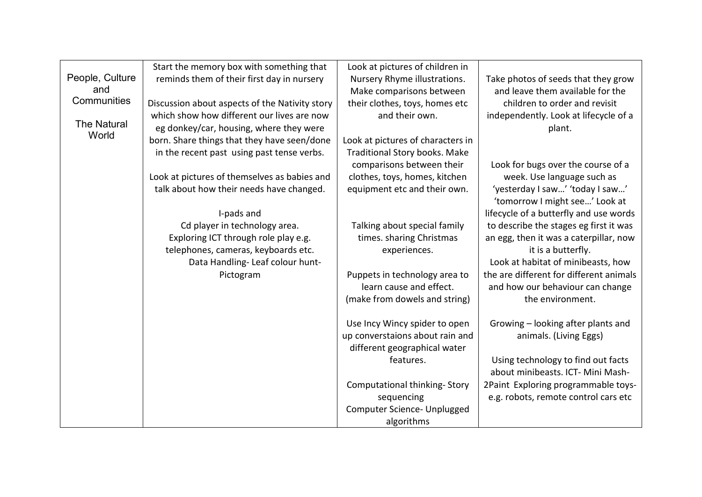|                    | Start the memory box with something that       | Look at pictures of children in      |                                         |
|--------------------|------------------------------------------------|--------------------------------------|-----------------------------------------|
| People, Culture    | reminds them of their first day in nursery     | Nursery Rhyme illustrations.         | Take photos of seeds that they grow     |
| and                |                                                | Make comparisons between             | and leave them available for the        |
| Communities        | Discussion about aspects of the Nativity story | their clothes, toys, homes etc       | children to order and revisit           |
|                    | which show how different our lives are now     | and their own.                       | independently. Look at lifecycle of a   |
| <b>The Natural</b> | eg donkey/car, housing, where they were        |                                      | plant.                                  |
| World              | born. Share things that they have seen/done    | Look at pictures of characters in    |                                         |
|                    | in the recent past using past tense verbs.     | <b>Traditional Story books. Make</b> |                                         |
|                    |                                                | comparisons between their            | Look for bugs over the course of a      |
|                    | Look at pictures of themselves as babies and   | clothes, toys, homes, kitchen        | week. Use language such as              |
|                    | talk about how their needs have changed.       | equipment etc and their own.         | 'yesterday I saw' 'today I saw'         |
|                    |                                                |                                      | 'tomorrow I might see' Look at          |
|                    | I-pads and                                     |                                      | lifecycle of a butterfly and use words  |
|                    | Cd player in technology area.                  | Talking about special family         | to describe the stages eg first it was  |
|                    | Exploring ICT through role play e.g.           | times. sharing Christmas             | an egg, then it was a caterpillar, now  |
|                    | telephones, cameras, keyboards etc.            | experiences.                         | it is a butterfly.                      |
|                    | Data Handling-Leaf colour hunt-                |                                      | Look at habitat of minibeasts, how      |
|                    | Pictogram                                      | Puppets in technology area to        | the are different for different animals |
|                    |                                                | learn cause and effect.              | and how our behaviour can change        |
|                    |                                                | (make from dowels and string)        | the environment.                        |
|                    |                                                | Use Incy Wincy spider to open        | Growing - looking after plants and      |
|                    |                                                | up converstaions about rain and      | animals. (Living Eggs)                  |
|                    |                                                | different geographical water         |                                         |
|                    |                                                | features.                            | Using technology to find out facts      |
|                    |                                                |                                      | about minibeasts. ICT- Mini Mash-       |
|                    |                                                | <b>Computational thinking-Story</b>  | 2Paint Exploring programmable toys-     |
|                    |                                                | sequencing                           | e.g. robots, remote control cars etc    |
|                    |                                                | Computer Science- Unplugged          |                                         |
|                    |                                                | algorithms                           |                                         |